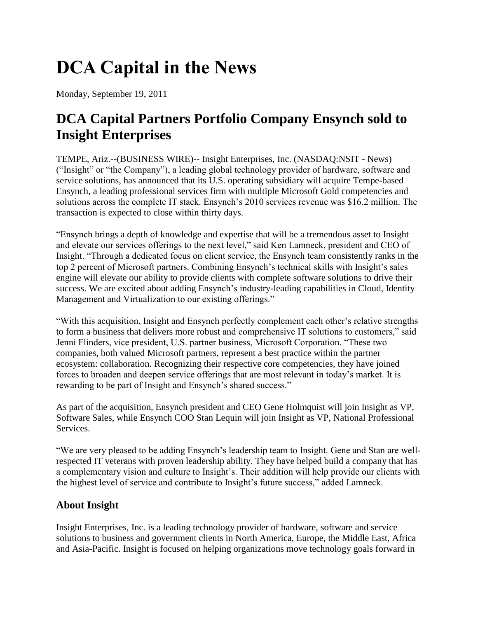# **DCA Capital in the News**

Monday, September 19, 2011

# **DCA Capital Partners Portfolio Company Ensynch sold to Insight Enterprises**

TEMPE, Ariz.--(BUSINESS WIRE)-- Insight Enterprises, Inc. (NASDAQ:NSIT - News) ("Insight" or "the Company"), a leading global technology provider of hardware, software and service solutions, has announced that its U.S. operating subsidiary will acquire Tempe-based Ensynch, a leading professional services firm with multiple Microsoft Gold competencies and solutions across the complete IT stack. Ensynch's 2010 services revenue was \$16.2 million. The transaction is expected to close within thirty days.

"Ensynch brings a depth of knowledge and expertise that will be a tremendous asset to Insight and elevate our services offerings to the next level," said Ken Lamneck, president and CEO of Insight. "Through a dedicated focus on client service, the Ensynch team consistently ranks in the top 2 percent of Microsoft partners. Combining Ensynch's technical skills with Insight's sales engine will elevate our ability to provide clients with complete software solutions to drive their success. We are excited about adding Ensynch's industry-leading capabilities in Cloud, Identity Management and Virtualization to our existing offerings."

"With this acquisition, Insight and Ensynch perfectly complement each other's relative strengths to form a business that delivers more robust and comprehensive IT solutions to customers," said Jenni Flinders, vice president, U.S. partner business, Microsoft Corporation. "These two companies, both valued Microsoft partners, represent a best practice within the partner ecosystem: collaboration. Recognizing their respective core competencies, they have joined forces to broaden and deepen service offerings that are most relevant in today's market. It is rewarding to be part of Insight and Ensynch's shared success."

As part of the acquisition, Ensynch president and CEO Gene Holmquist will join Insight as VP, Software Sales, while Ensynch COO Stan Lequin will join Insight as VP, National Professional Services.

"We are very pleased to be adding Ensynch's leadership team to Insight. Gene and Stan are wellrespected IT veterans with proven leadership ability. They have helped build a company that has a complementary vision and culture to Insight's. Their addition will help provide our clients with the highest level of service and contribute to Insight's future success," added Lamneck.

## **About Insight**

Insight Enterprises, Inc. is a leading technology provider of hardware, software and service solutions to business and government clients in North America, Europe, the Middle East, Africa and Asia-Pacific. Insight is focused on helping organizations move technology goals forward in